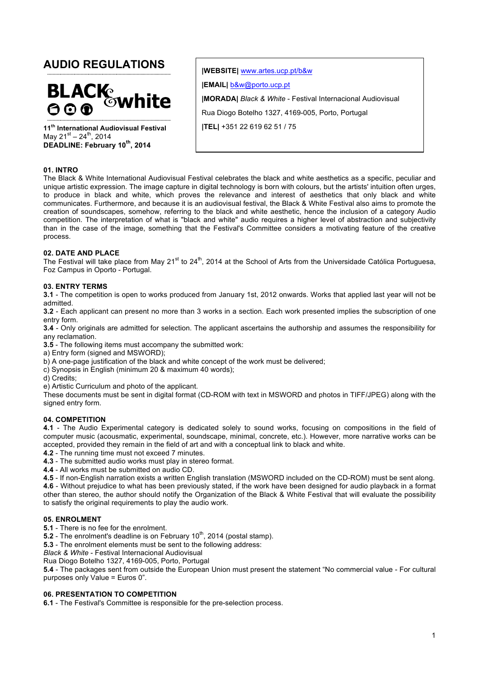# **AUDIO REGULATIONS**



**11th International Audiovisual Festival** May  $21^{st} - 24^{th}$ , 2014 **DEADLINE: February 10th, 2014**

**|WEBSITE|** www.artes.ucp.pt/b&w **|EMAIL|** b&w@porto.ucp.pt **|MORADA|** *Black & White* - Festival Internacional Audiovisual Rua Diogo Botelho 1327, 4169-005, Porto, Portugal **|TEL|** +351 22 619 62 51 / 75

## **01. INTRO**

The Black & White International Audiovisual Festival celebrates the black and white aesthetics as a specific, peculiar and unique artistic expression. The image capture in digital technology is born with colours, but the artists' intuition often urges, to produce in black and white, which proves the relevance and interest of aesthetics that only black and white communicates. Furthermore, and because it is an audiovisual festival, the Black & White Festival also aims to promote the creation of soundscapes, somehow, referring to the black and white aesthetic, hence the inclusion of a category Audio competition. The interpretation of what is "black and white" audio requires a higher level of abstraction and subjectivity than in the case of the image, something that the Festival's Committee considers a motivating feature of the creative process.

#### **02. DATE AND PLACE**

The Festival will take place from May 21<sup>st</sup> to 24<sup>th</sup>, 2014 at the School of Arts from the Universidade Católica Portuguesa, Foz Campus in Oporto - Portugal.

#### **03. ENTRY TERMS**

**3.1** - The competition is open to works produced from January 1st, 2012 onwards. Works that applied last year will not be admitted.

**3.2** - Each applicant can present no more than 3 works in a section. Each work presented implies the subscription of one entry form.

**3.4** - Only originals are admitted for selection. The applicant ascertains the authorship and assumes the responsibility for any reclamation.

**3.5** - The following items must accompany the submitted work:

a) Entry form (signed and MSWORD);

b) A one-page justification of the black and white concept of the work must be delivered;

c) Synopsis in English (minimum 20 & maximum 40 words);

d) Credits;

e) Artistic Curriculum and photo of the applicant.

These documents must be sent in digital format (CD-ROM with text in MSWORD and photos in TIFF/JPEG) along with the signed entry form.

## **04. COMPETITION**

**4.1** - The Audio Experimental category is dedicated solely to sound works, focusing on compositions in the field of computer music (acousmatic, experimental, soundscape, minimal, concrete, etc.). However, more narrative works can be accepted, provided they remain in the field of art and with a conceptual link to black and white.

**4.2** - The running time must not exceed 7 minutes.

**4.3** - The submitted audio works must play in stereo format.

**4.4** - All works must be submitted on audio CD.

**4.5** - If non-English narration exists a written English translation (MSWORD included on the CD-ROM) must be sent along. **4.6** - Without prejudice to what has been previously stated, if the work have been designed for audio playback in a format other than stereo, the author should notify the Organization of the Black & White Festival that will evaluate the possibility to satisfy the original requirements to play the audio work.

#### **05. ENROLMENT**

**5.1** - There is no fee for the enrolment.

**5.2** - The enrolment's deadline is on February  $10<sup>th</sup>$ , 2014 (postal stamp).

**5.3** - The enrolment elements must be sent to the following address:

*Black & White* - Festival Internacional Audiovisual

Rua Diogo Botelho 1327, 4169-005, Porto, Portugal

**5.4** - The packages sent from outside the European Union must present the statement "No commercial value - For cultural purposes only Value = Euros 0".

## **06. PRESENTATION TO COMPETITION**

**6.1** - The Festival's Committee is responsible for the pre-selection process.